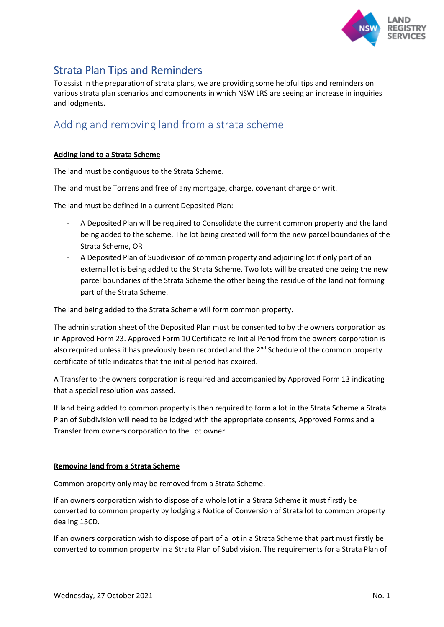

# Strata Plan Tips and Reminders

To assist in the preparation of strata plans, we are providing some helpful tips and reminders on various strata plan scenarios and components in which NSW LRS are seeing an increase in inquiries and lodgments.

## Adding and removing land from a strata scheme

#### **Adding land to a Strata Scheme**

The land must be contiguous to the Strata Scheme.

The land must be Torrens and free of any mortgage, charge, covenant charge or writ.

The land must be defined in a current Deposited Plan:

- A Deposited Plan will be required to Consolidate the current common property and the land being added to the scheme. The lot being created will form the new parcel boundaries of the Strata Scheme, OR
- A Deposited Plan of Subdivision of common property and adjoining lot if only part of an external lot is being added to the Strata Scheme. Two lots will be created one being the new parcel boundaries of the Strata Scheme the other being the residue of the land not forming part of the Strata Scheme.

The land being added to the Strata Scheme will form common property.

The administration sheet of the Deposited Plan must be consented to by the owners corporation as in Approved Form 23. Approved Form 10 Certificate re Initial Period from the owners corporation is also required unless it has previously been recorded and the 2<sup>nd</sup> Schedule of the common property certificate of title indicates that the initial period has expired.

A Transfer to the owners corporation is required and accompanied by Approved Form 13 indicating that a special resolution was passed.

If land being added to common property is then required to form a lot in the Strata Scheme a Strata Plan of Subdivision will need to be lodged with the appropriate consents, Approved Forms and a Transfer from owners corporation to the Lot owner.

#### **Removing land from a Strata Scheme**

Common property only may be removed from a Strata Scheme.

If an owners corporation wish to dispose of a whole lot in a Strata Scheme it must firstly be converted to common property by lodging a Notice of Conversion of Strata lot to common property dealing 15CD.

If an owners corporation wish to dispose of part of a lot in a Strata Scheme that part must firstly be converted to common property in a Strata Plan of Subdivision. The requirements for a Strata Plan of